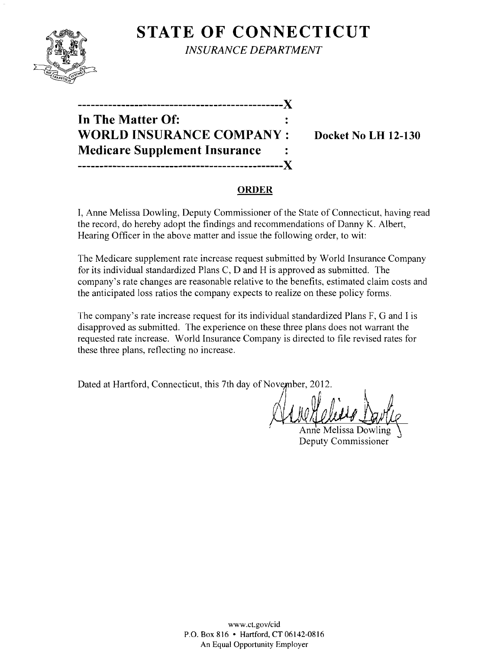

**STATE OF CONNECTICUT** *INSURANCE DEPARTMENT* 

| -----------------------------------X |           |
|--------------------------------------|-----------|
| In The Matter Of:                    |           |
| <b>WORLD INSURANCE COMPANY:</b>      |           |
| <b>Medicare Supplement Insurance</b> | $\bullet$ |
|                                      |           |

**Docket No LH 12-130** 

### **ORDER**

I, Anne Melissa Dowling, Deputy Commissioner of the State of Connecticut, having read the record, do hereby adopt the findings and recommendations of Danny K. Albert, Hearing Officer in the above matter and issue the following order, to wit:

The Medicare supplement rate increase request submitted by World Insurance Company for its individual standardized Plans C, D and H is approved as submitted. The company's rate changes are reasonable relative to the benefits, estimated claim costs and the anticipated loss ratios the company expects to realize on these policy forms.

The company's rate increase request for its individual standardized Plans F, G and I is disapproved as submitted. The experience on these three plans does not warrant the requested rate increase. World Insurance Company is directed to file revised rates for these three plans, reflecting no increase.

Dated at Hartford, Connecticut, this 7th day of November, 2012.

/

Anne Melissa Dowling Deputy Commissioner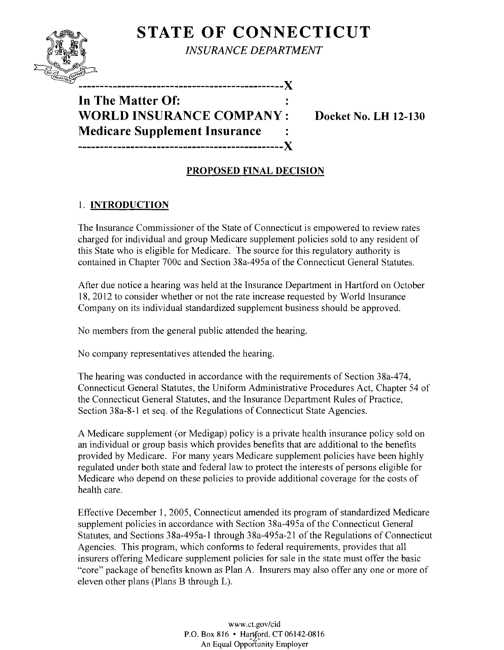# **STATE OF CONNECTICUT**



*INSURANCE DEPARTMENT* 

**In The Matter Of: WORLD INSURANCE COMPANY: Medicare Supplement Insurance -----------------------------------------------X** 

-----------------------------------X

**Docket No. LH 12-130** 

## **PROPOSED FINAL DECISION**

## 1. **INTRODUCTION**

The Insurance Commissioner of the State of Connecticut is empowered to review rates charged for individual and group Medicare supplement policies sold to any resident of this State who is eligible for Medicare. The source for this regulatory authority is contained in Chapter 700c and Section 38a-495a of the Connecticut General Statutes.

After due notice a hearing was held at the Insurance Department in Hartford on October 18, 2012 to consider whether or not the rate increase requested by World Insurance Company on its individual standardized supplement business should be approved.

No members from the general public attended the hearing.

No company representatives attended the hearing.

The hearing was conducted in accordance with the requirements of Section 38a-474, Connecticut General Statutes, the Uniform Administrative Procedures Act, Chapter 54 of the Connecticut General Statutes, and the Insurance Department Rules of Practice, Section 38a-8-1 et seq. of the Regulations of Connecticut State Agencies.

A Medicare supplement (or Medigap) policy is a private health insurance policy sold on an individual or group basis which provides benefits that are additional to the benefits provided by Medicare. For many years Medicare supplement policies have been highly regulated under both state and federal law to protect the interests of persons eligible for Medicare who depend on these policies to provide additional coverage for the costs of health care.

Effective December 1,2005, Connecticut amended its program of standardized Medicare supplement policies in accordance with Section 38a-495a of the Connecticut General Statutes, and Sections 38a-495a-1 through 38a-495a-21 of the Regulations of Connecticut Agencies. This program, which conforms to federal requirements, provides that all insurers offering Medicare supplement policies for sale in the state must offer the basic "core" package of benefits known as Plan A. Insurers may also offer anyone or more of eleven other plans (Plans B through L).

> www.cLgov/cid P.O. Box 816 • Hartford, CT 06142-0816 An Equal Opportunity Employer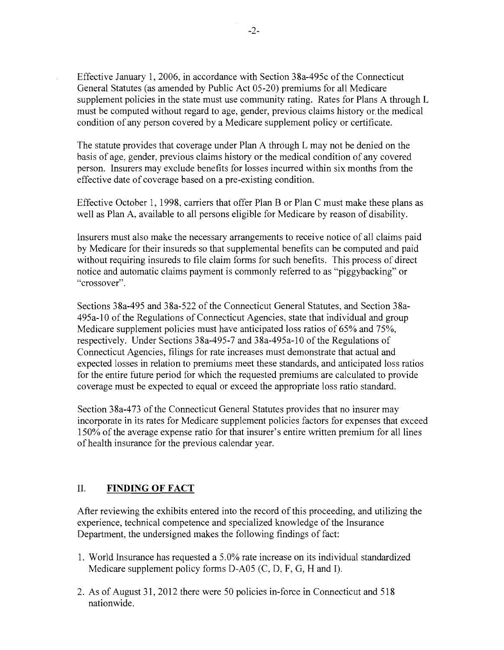Effective January 1,2006, in accordance with Section 38a-495c ofthe Connecticut General Statutes (as amended by Public Act 05-20) premiums for all Medicare supplement policies in the state must use community rating. Rates for Plans A through L must be computed without regard to age, gender, previous claims history or. the medical condition of any person covered by a Medicare supplement policy or certificate.

The statute provides that coverage under Plan A through L may not be denied on the basis of age, gender, previous claims history or the medical condition of any covered person. Insurers may exclude benefits for losses incurred within six months from the effective date of coverage based on a pre-existing condition.

Effective October 1, 1998, carriers that offer Plan B or Plan C must make these plans as well as Plan A, available to all persons eligible for Medicare by reason of disability.

Insurers must also make the necessary arrangements to receive notice of all claims paid by Medicare for their insureds so that supplemental benefits can be computed and paid without requiring insureds to file claim forms for such benefits. This process of direct notice and automatic claims payment is commonly referred to as "piggybacking" or "crossover".

Sections 38a-495 and 38a-522 of the Connecticut General Statutes, and Section 38a-495a-10 of the Regulations of Connecticut Agencies, state that individual and group Medicare supplement policies must have anticipated loss ratios of 65% and 75%, respectively. Under Sections 38a-495-7 and 38a-495a-10 of the Regulations of Connecticut Agencies, filings for rate increases must demonstrate that actual and expected losses in relation to premiums meet these standards, and anticipated loss ratios for the entire future period for which the requested premiums are calculated to provide coverage must be expected to equal or exceed the appropriate loss ratio standard.

Section 38a-473 of the Connecticut General Statutes provides that no insurer may incorporate in its rates for Medicare supplement policies factors for expenses that exceed 150% of the average expense ratio for that insurer's entire written premium for all lines of health insurance for the previous calendar year.

#### **II. FINDING OF FACT**

After reviewing the exhibits entered into the record of this proceeding, and utilizing the experience, technical competence and specialized knowledge of the Insurance Department, the undersigned makes the following findings of fact:

- 1. World Insurance has requested a 5.0% rate increase on its individual standardized Medicare supplement policy forms D-A05 (C, D, F, G, H and I).
- 2. As of August 31, 2012 there were 50 policies in-force in Connecticut and 518 nationwide.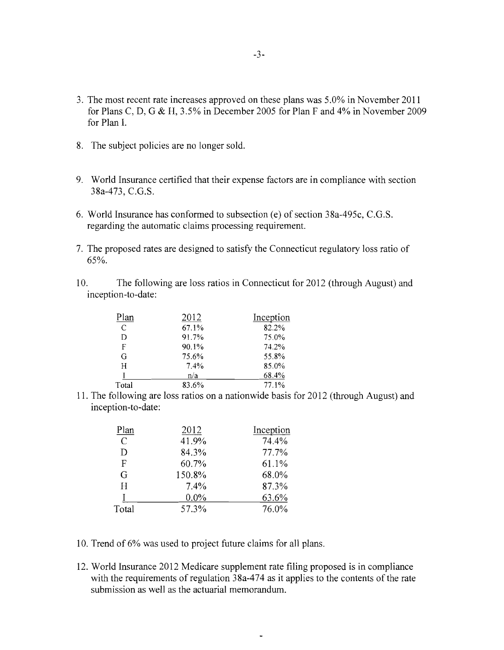- 3. The most recent rate increases approved on these plans was 5.0% in November 2011 for Plans C, D, G & H, 3.5% in December 2005 for Plan F and 4% in November 2009 for Plan 1.
- 8. The subject policies are no longer sold.
- 9. World Insurance certified that their expense factors are in compliance with section 38a-473, C.G.S.
- 6. World Insurance has conformed to subsection (e) of section 38a-495c, C.G.S. regarding the automatic claims processing requirement.
- 7. The proposed rates are designed to satisfy the Connecticut regulatory loss ratio of 65%.
- 10. The following are loss ratios in Connecticut for 2012 (through August) and inception-to-date:

| Plan  | 2012  | Inception |
|-------|-------|-----------|
| C     | 67.1% | 82.2%     |
| D     | 91.7% | 75.0%     |
| F     | 90.1% | 74.2%     |
| G     | 75.6% | 55.8%     |
| H     | 7.4%  | 85.0%     |
|       | n/a   | 68.4%     |
| Total | 83.6% | 77.1%     |

11. The following are loss ratios on a nationwide basis for 2012 (through August) and inception-to-date:

| Plan          | 2012    | Inception |
|---------------|---------|-----------|
| $\mathcal{C}$ | 41.9%   | 74.4%     |
| D             | 84.3%   | 77.7%     |
| F             | 60.7%   | 61.1%     |
| G             | 150.8%  | 68.0%     |
| H             | 7.4%    | 87.3%     |
|               | $0.0\%$ | 63.6%     |
| Total         | 57.3%   | 76.0%     |

- 10. Trend of 6% was used to project future claims for all plans.
- 12. World Insurance 2012 Medicare supplement rate filing proposed is in compliance with the requirements of regulation  $38a-474$  as it applies to the contents of the rate submission as well as the actuarial memorandum.

 $\sim$